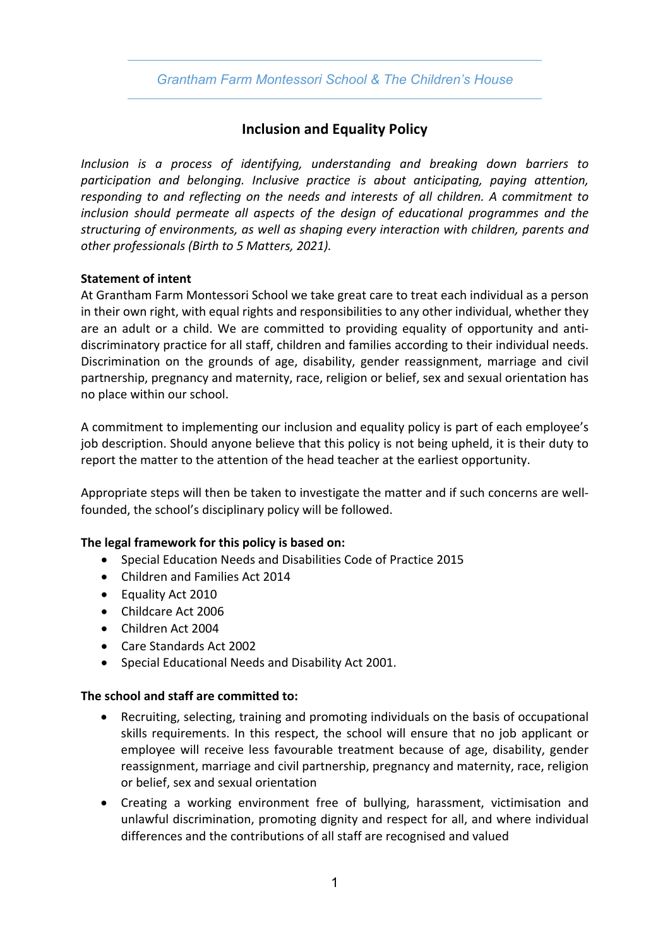## *Grantham Farm Montessori School & The Children's House*

# **Inclusion and Equality Policy**

*Inclusion is a process of identifying, understanding and breaking down barriers to participation and belonging. Inclusive practice is about anticipating, paying attention, responding to and reflecting on the needs and interests of all children. A commitment to inclusion should permeate all aspects of the design of educational programmes and the structuring of environments, as well as shaping every interaction with children, parents and other professionals (Birth to 5 Matters, 2021).*

### **Statement of intent**

At Grantham Farm Montessori School we take great care to treat each individual as a person in their own right, with equal rights and responsibilities to any other individual, whether they are an adult or a child. We are committed to providing equality of opportunity and antidiscriminatory practice for all staff, children and families according to their individual needs. Discrimination on the grounds of age, disability, gender reassignment, marriage and civil partnership, pregnancy and maternity, race, religion or belief, sex and sexual orientation has no place within our school.

A commitment to implementing our inclusion and equality policy is part of each employee's job description. Should anyone believe that this policy is not being upheld, it is their duty to report the matter to the attention of the head teacher at the earliest opportunity.

Appropriate steps will then be taken to investigate the matter and if such concerns are wellfounded, the school's disciplinary policy will be followed.

## **The legal framework for this policy is based on:**

- Special Education Needs and Disabilities Code of Practice 2015
- Children and Families Act 2014
- Equality Act 2010
- Childcare Act 2006
- Children Act 2004
- Care Standards Act 2002
- Special Educational Needs and Disability Act 2001.

### **The school and staff are committed to:**

- Recruiting, selecting, training and promoting individuals on the basis of occupational skills requirements. In this respect, the school will ensure that no job applicant or employee will receive less favourable treatment because of age, disability, gender reassignment, marriage and civil partnership, pregnancy and maternity, race, religion or belief, sex and sexual orientation
- Creating a working environment free of bullying, harassment, victimisation and unlawful discrimination, promoting dignity and respect for all, and where individual differences and the contributions of all staff are recognised and valued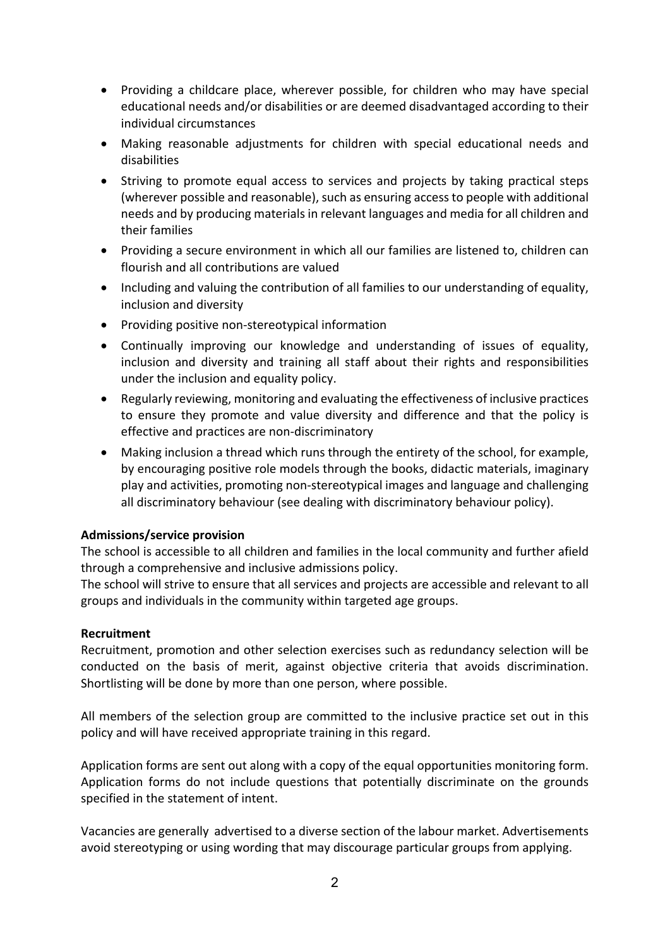- Providing a childcare place, wherever possible, for children who may have special educational needs and/or disabilities or are deemed disadvantaged according to their individual circumstances
- Making reasonable adjustments for children with special educational needs and disabilities
- Striving to promote equal access to services and projects by taking practical steps (wherever possible and reasonable), such as ensuring access to people with additional needs and by producing materials in relevant languages and media for all children and their families
- Providing a secure environment in which all our families are listened to, children can flourish and all contributions are valued
- Including and valuing the contribution of all families to our understanding of equality, inclusion and diversity
- Providing positive non-stereotypical information
- Continually improving our knowledge and understanding of issues of equality, inclusion and diversity and training all staff about their rights and responsibilities under the inclusion and equality policy.
- Regularly reviewing, monitoring and evaluating the effectiveness of inclusive practices to ensure they promote and value diversity and difference and that the policy is effective and practices are non-discriminatory
- Making inclusion a thread which runs through the entirety of the school, for example, by encouraging positive role models through the books, didactic materials, imaginary play and activities, promoting non-stereotypical images and language and challenging all discriminatory behaviour (see dealing with discriminatory behaviour policy).

### **Admissions/service provision**

The school is accessible to all children and families in the local community and further afield through a comprehensive and inclusive admissions policy.

The school will strive to ensure that all services and projects are accessible and relevant to all groups and individuals in the community within targeted age groups.

### **Recruitment**

Recruitment, promotion and other selection exercises such as redundancy selection will be conducted on the basis of merit, against objective criteria that avoids discrimination. Shortlisting will be done by more than one person, where possible.

All members of the selection group are committed to the inclusive practice set out in this policy and will have received appropriate training in this regard.

Application forms are sent out along with a copy of the equal opportunities monitoring form. Application forms do not include questions that potentially discriminate on the grounds specified in the statement of intent.

Vacancies are generally advertised to a diverse section of the labour market. Advertisements avoid stereotyping or using wording that may discourage particular groups from applying.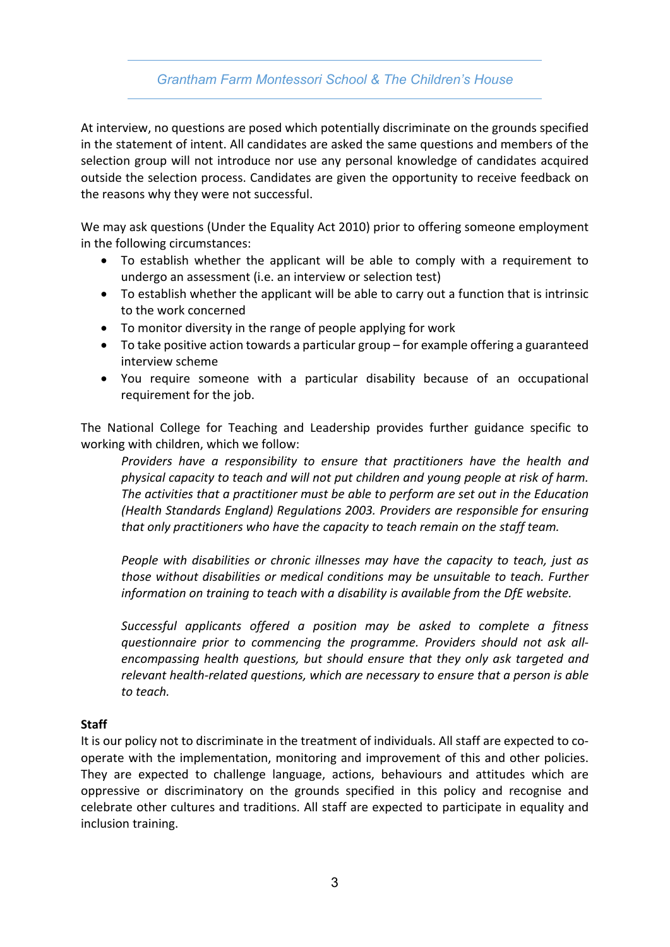## *Grantham Farm Montessori School & The Children's House*

At interview, no questions are posed which potentially discriminate on the grounds specified in the statement of intent. All candidates are asked the same questions and members of the selection group will not introduce nor use any personal knowledge of candidates acquired outside the selection process. Candidates are given the opportunity to receive feedback on the reasons why they were not successful.

We may ask questions (Under the Equality Act 2010) prior to offering someone employment in the following circumstances:

- To establish whether the applicant will be able to comply with a requirement to undergo an assessment (i.e. an interview or selection test)
- To establish whether the applicant will be able to carry out a function that is intrinsic to the work concerned
- To monitor diversity in the range of people applying for work
- To take positive action towards a particular group for example offering a guaranteed interview scheme
- You require someone with a particular disability because of an occupational requirement for the job.

The National College for Teaching and Leadership provides further guidance specific to working with children, which we follow:

*Providers have a responsibility to ensure that practitioners have the health and physical capacity to teach and will not put children and young people at risk of harm. The activities that a practitioner must be able to perform are set out in the Education (Health Standards England) Regulations 2003. Providers are responsible for ensuring that only practitioners who have the capacity to teach remain on the staff team.*

*People with disabilities or chronic illnesses may have the capacity to teach, just as those without disabilities or medical conditions may be unsuitable to teach. Further information on training to teach with a disability is available from the DfE website.*

*Successful applicants offered a position may be asked to complete a fitness questionnaire prior to commencing the programme. Providers should not ask allencompassing health questions, but should ensure that they only ask targeted and relevant health-related questions, which are necessary to ensure that a person is able to teach.*

### **Staff**

It is our policy not to discriminate in the treatment of individuals. All staff are expected to cooperate with the implementation, monitoring and improvement of this and other policies. They are expected to challenge language, actions, behaviours and attitudes which are oppressive or discriminatory on the grounds specified in this policy and recognise and celebrate other cultures and traditions. All staff are expected to participate in equality and inclusion training.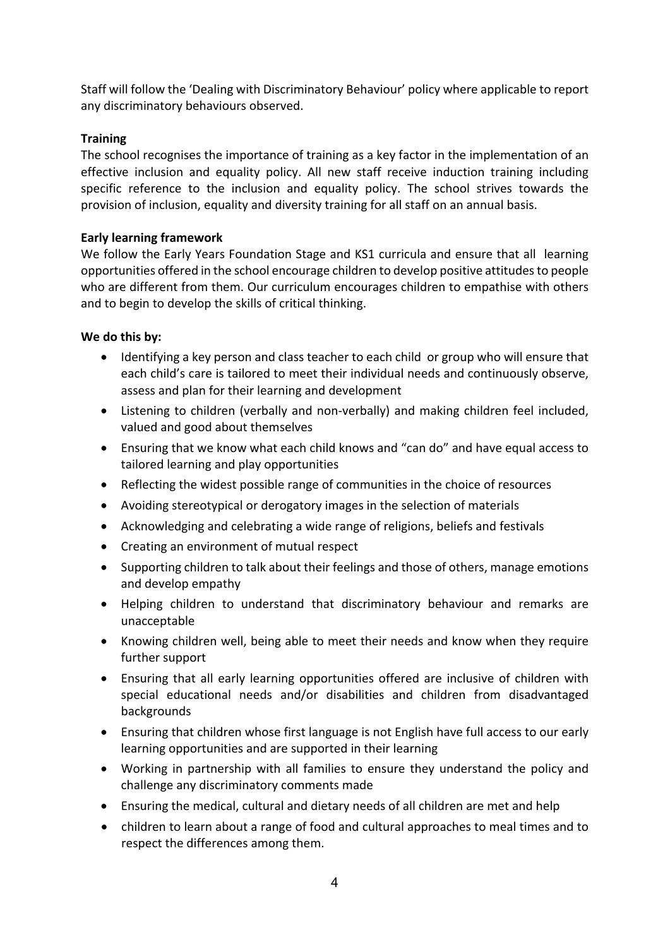Staff will follow the 'Dealing with Discriminatory Behaviour' policy where applicable to report any discriminatory behaviours observed.

## **Training**

The school recognises the importance of training as a key factor in the implementation of an effective inclusion and equality policy. All new staff receive induction training including specific reference to the inclusion and equality policy. The school strives towards the provision of inclusion, equality and diversity training for all staff on an annual basis.

### **Early learning framework**

We follow the Early Years Foundation Stage and KS1 curricula and ensure that all learning opportunities offered in the school encourage children to develop positive attitudes to people who are different from them. Our curriculum encourages children to empathise with others and to begin to develop the skills of critical thinking.

## **We do this by:**

- Identifying a key person and class teacher to each child or group who will ensure that each child's care is tailored to meet their individual needs and continuously observe, assess and plan for their learning and development
- Listening to children (verbally and non-verbally) and making children feel included, valued and good about themselves
- Ensuring that we know what each child knows and "can do" and have equal access to tailored learning and play opportunities
- Reflecting the widest possible range of communities in the choice of resources
- Avoiding stereotypical or derogatory images in the selection of materials
- Acknowledging and celebrating a wide range of religions, beliefs and festivals
- Creating an environment of mutual respect
- Supporting children to talk about their feelings and those of others, manage emotions and develop empathy
- Helping children to understand that discriminatory behaviour and remarks are unacceptable
- Knowing children well, being able to meet their needs and know when they require further support
- Ensuring that all early learning opportunities offered are inclusive of children with special educational needs and/or disabilities and children from disadvantaged backgrounds
- Ensuring that children whose first language is not English have full access to our early learning opportunities and are supported in their learning
- Working in partnership with all families to ensure they understand the policy and challenge any discriminatory comments made
- Ensuring the medical, cultural and dietary needs of all children are met and help
- children to learn about a range of food and cultural approaches to meal times and to respect the differences among them.